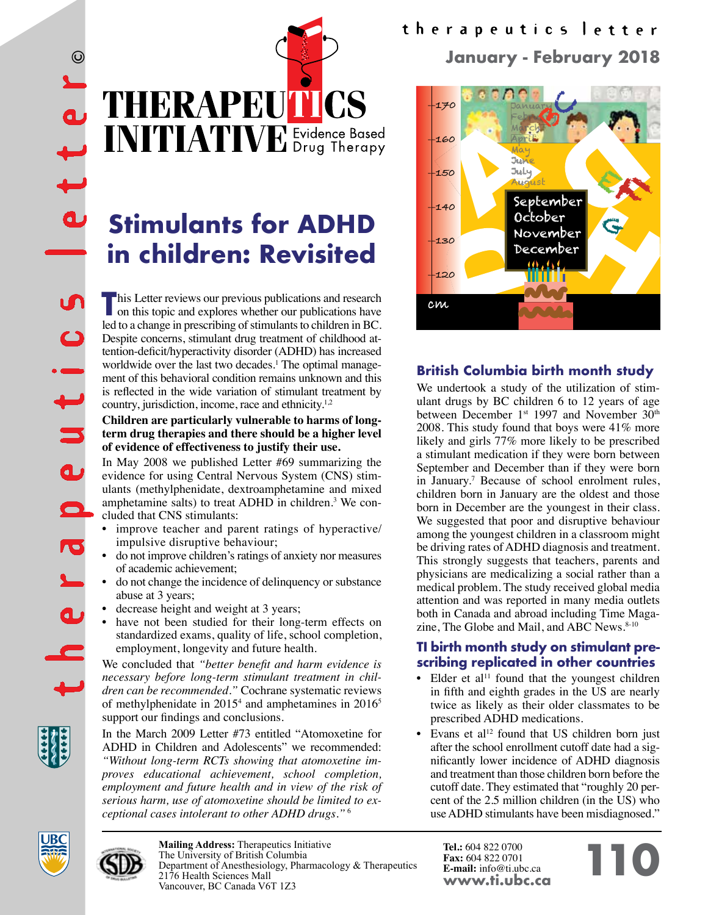THERAPEUTICS INITIATIVE Evidence Based

# **Stimulants for ADHD in children: Revisited**

**This Letter reviews our previous publications and research on this topic and explores whether our publications have** led to a change in prescribing of stimulants to children in BC. Despite concerns, stimulant drug treatment of childhood attention-deficit/hyperactivity disorder (ADHD) has increased worldwide over the last two decades.<sup>1</sup> The optimal management of this behavioral condition remains unknown and this is reflected in the wide variation of stimulant treatment by country, jurisdiction, income, race and ethnicity.<sup>1,2</sup>

#### **Children are particularly vulnerable to harms of longterm drug therapies and there should be a higher level of evidence of effectiveness to justify their use.**

In May 2008 we published Letter #69 summarizing the evidence for using Central Nervous System (CNS) stimulants (methylphenidate, dextroamphetamine and mixed amphetamine salts) to treat ADHD in children.<sup>3</sup> We concluded that CNS stimulants:

- improve teacher and parent ratings of hyperactive/ impulsive disruptive behaviour;
- do not improve children's ratings of anxiety nor measures of academic achievement;
- do not change the incidence of delinquency or substance abuse at 3 years;
- decrease height and weight at 3 years;
- have not been studied for their long-term effects on standardized exams, quality of life, school completion, employment, longevity and future health.

We concluded that *"better benefit and harm evidence is necessary before long-term stimulant treatment in children can be recommended."* Cochrane systematic reviews of methylphenidate in 2015<sup>4</sup> and amphetamines in 2016<sup>5</sup> support our findings and conclusions.

In the March 2009 Letter #73 entitled "Atomoxetine for ADHD in Children and Adolescents" we recommended: *"Without long-term RCTs showing that atomoxetine improves educational achievement, school completion, employment and future health and in view of the risk of serious harm, use of atomoxetine should be limited to exceptional cases intolerant to other ADHD drugs."* <sup>6</sup>

# therapeutics letter **January - February 2018**



# **British Columbia birth month study**

We undertook a study of the utilization of stimulant drugs by BC children 6 to 12 years of age between December 1<sup>st</sup> 1997 and November 30<sup>th</sup> 2008. This study found that boys were 41% more likely and girls 77% more likely to be prescribed a stimulant medication if they were born between September and December than if they were born in January.<sup>7</sup> Because of school enrolment rules, children born in January are the oldest and those born in December are the youngest in their class. We suggested that poor and disruptive behaviour among the youngest children in a classroom might be driving rates of ADHD diagnosis and treatment. This strongly suggests that teachers, parents and physicians are medicalizing a social rather than a medical problem. The study received global media attention and was reported in many media outlets both in Canada and abroad including Time Magazine, The Globe and Mail, and ABC News.<sup>8-10</sup>

### **TI birth month study on stimulant prescribing replicated in other countries**

- Elder et al<sup>11</sup> found that the youngest children in fifth and eighth grades in the US are nearly twice as likely as their older classmates to be prescribed ADHD medications.
- Evans et al<sup>12</sup> found that US children born just after the school enrollment cutoff date had a significantly lower incidence of ADHD diagnosis and treatment than those children born before the cutoff date. They estimated that "roughly 20 percent of the 2.5 million children (in the US) who use ADHD stimulants have been misdiagnosed."



**Mailing Address:** Therapeutics Initiative The University of British Columbia Department of Anesthesiology, Pharmacology & Therapeutics 2176 Health Sciences Mall Vancouver, BC Canada V6T 1Z3

**Tel.:** 604 822 0700 **Fax:** 604 822 0701 **E-mail:** info@ti.ubc.ca **www.ti.ubc.ca 110**